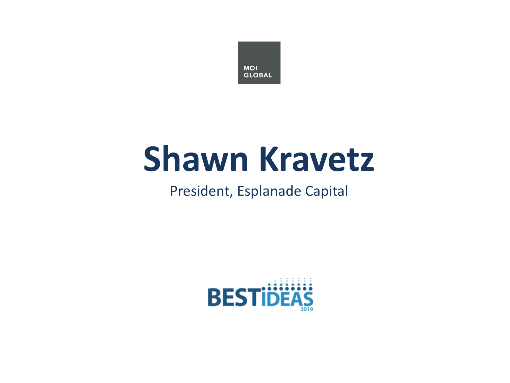

# **Shawn Kravetz**

#### President, Esplanade Capital

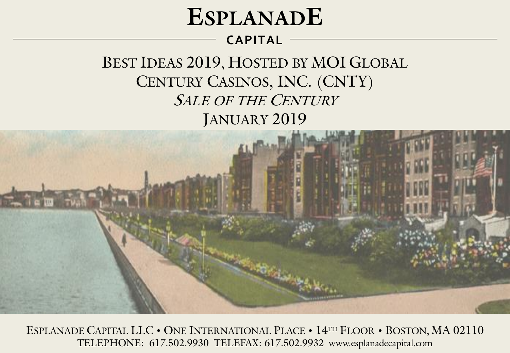# **ESPLANADE**

#### **CAPITAL**

BEST IDEAS 2019, HOSTED BY MOI GLOBAL CENTURY CASINOS, INC. (CNTY) SALE OF THE CENTURY JANUARY 2019



ESPLANADE CAPITAL LLC • ONE INTERNATIONAL PLACE • 14TH FLOOR • BOSTON, MA 02110 TELEPHONE: 617.502.9930 TELEFAX: 617.502.9932 www.esplanadecapital.com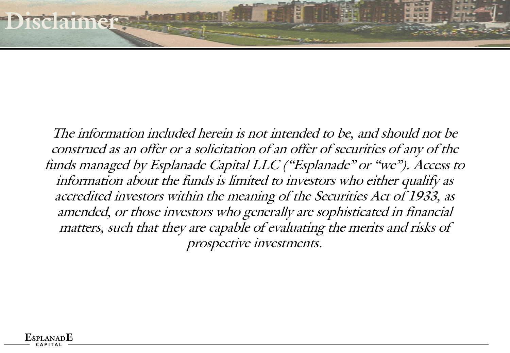The information included herein is not intended to be, and should not be construed as an offer or a solicitation of an offer of securities of any of the funds managed by Esplanade Capital LLC ("Esplanade" or "we"). Access to information about the funds is limited to investors who either qualify as accredited investors within the meaning of the Securities Act of 1933, as amended, or those investors who generally are sophisticated in financial matters, such that they are capable of evaluating the merits and risks of prospective investments.

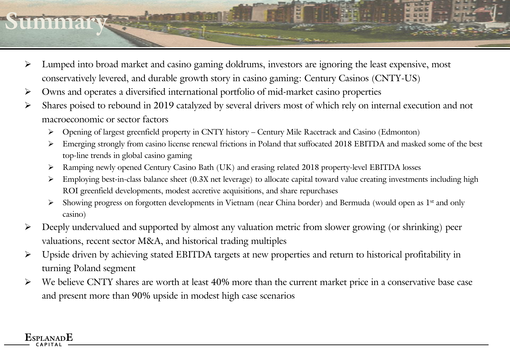# **Summary**

- ➢ Lumped into broad market and casino gaming doldrums, investors are ignoring the least expensive, most conservatively levered, and durable growth story in casino gaming: Century Casinos (CNTY-US)
- ➢ Owns and operates a diversified international portfolio of mid-market casino properties

- ➢ Shares poised to rebound in 2019 catalyzed by several drivers most of which rely on internal execution and not macroeconomic or sector factors
	- ➢ Opening of largest greenfield property in CNTY history Century Mile Racetrack and Casino (Edmonton)
	- ➢ Emerging strongly from casino license renewal frictions in Poland that suffocated 2018 EBITDA and masked some of the best top-line trends in global casino gaming
	- ➢ Ramping newly opened Century Casino Bath (UK) and erasing related 2018 property-level EBITDA losses
	- ➢ Employing best-in-class balance sheet (0.3X net leverage) to allocate capital toward value creating investments including high ROI greenfield developments, modest accretive acquisitions, and share repurchases
	- ➢ Showing progress on forgotten developments in Vietnam (near China border) and Bermuda (would open as 1st and only casino)
- ➢ Deeply undervalued and supported by almost any valuation metric from slower growing (or shrinking) peer valuations, recent sector M&A, and historical trading multiples
- ➢ Upside driven by achieving stated EBITDA targets at new properties and return to historical profitability in turning Poland segment
- We believe CNTY shares are worth at least 40% more than the current market price in a conservative base case and present more than 90% upside in modest high case scenarios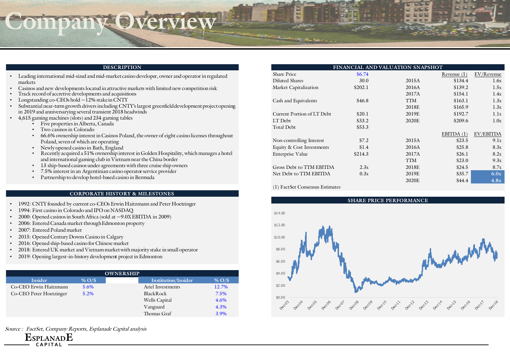## **Company Overview**

#### **DESCRIPTION**

- Leading international mid-sized and mid-market casino developer, owner and operator in regulated markets
- Casinos and new developments located in attractive markets with limited new competition risk
- Track record of accretive developments and acquisitions
- Longstanding co-CEOs hold ~12% stake in CNTY
- Substantial near-term growth drivers including CNTY's largest greenfield development project opening in 2019 and anniversarying several transient 2018 headwinds
- 4,615 gaming machines (slots) and 234 gaming tables
	- Five properties in Alberta, Canada
	- Two casinos in Colorado
	- 66.6% ownership interest in Casinos Poland, the owner of eight casino licenses throughout Poland, seven of which are operating
	- Newly opened casino in Bath, England
	- Recently acquired a 51% ownership interest in Golden Hospitality, which manages a hotel and international gaming club in Vietnam near the China border
	- 13 ship-based casinos under agreements with three cruise ship owners
	- 7.5% interest in an Argentinian casino operator service provider
	- Partnership to develop hotel-based casino in Bermuda

#### **CORPORATE HISTORY & MILESTONES**

- 1992: CNTY founded by current co-CEOs Erwin Haitzmann and Peter Hoetzinger
- 1994: First casino in Colorado and IPO on NASDAQ
- 2000: Opened casinos in South Africa (sold at  $\sim$  9.0X EBITDA in 2009)
- 2006: Entered Canada market through Edmonton property
- 2007: Entered Poland market

**ESPLANADE C A P I T A L**

- 2015: Opened Century Downs Casino in Calgary
- 2016: Opened ship-based casino for Chinese market
- 2018: Entered UK market and Vietnam market with majority stake in small operator
- 2019: Opening largest-in-history development project in Edmonton

| <b>OWNERSHIP</b>        |          |                     |         |  |  |  |  |  |  |
|-------------------------|----------|---------------------|---------|--|--|--|--|--|--|
| <b>Insider</b>          | $\%$ O/S | Institution/Insider | $%$ O/S |  |  |  |  |  |  |
| Co-CEO Erwin Haitzmann  | 5.6%     | Ariel Investments   | 12.7%   |  |  |  |  |  |  |
| Co-CEO Peter Hoetzinger | 5.2%     | <b>Black Rock</b>   | 7.5%    |  |  |  |  |  |  |
|                         |          | Wells Capital       | 4.6%    |  |  |  |  |  |  |
|                         |          | Vanguard            | 4.3%    |  |  |  |  |  |  |
|                         |          | Thomas Graf         | 3.9%    |  |  |  |  |  |  |

Source : FactSet, Company Reports, Esplanade Capital analysis

| FINANCIAL AND VALUATION SNAPSHOT |         |            |               |            |  |  |  |  |  |  |  |
|----------------------------------|---------|------------|---------------|------------|--|--|--|--|--|--|--|
| Share Price                      | \$6.74  |            | Revenue $(1)$ | EV/Revenue |  |  |  |  |  |  |  |
| Diluted Shares                   | 30.0    | 2015A      | \$134.4       | 1.6x       |  |  |  |  |  |  |  |
| Market Capitalization            | \$202.1 | 2016A      | \$139.2       | 1.5x       |  |  |  |  |  |  |  |
|                                  |         | 2017A      | \$154.1       | 1.4x       |  |  |  |  |  |  |  |
| Cash and Equivalents             | \$46.8  | <b>TTM</b> | \$163.1       | 1.3x       |  |  |  |  |  |  |  |
|                                  |         | 2018E      | \$165.9       | 1.3x       |  |  |  |  |  |  |  |
| Current Portion of LT Debt       | \$20.1  | 2019E      | \$192.7       | 1.1x       |  |  |  |  |  |  |  |
| LT Debt                          | \$33.2  | 2020E      | \$209.6       | 1.0x       |  |  |  |  |  |  |  |
| Total Debt                       | \$53.3  |            |               |            |  |  |  |  |  |  |  |
|                                  |         |            | EBITDA $(1)$  | EV/EBITDA  |  |  |  |  |  |  |  |
| Non-controlling Interest         | \$7.2   | 2015A      | \$23.5        | 9.1x       |  |  |  |  |  |  |  |
| Equity & Cost Investments        | \$1.4   | 2016A      | \$25.8        | 8.3x       |  |  |  |  |  |  |  |
| Enterprise Value                 | \$214.3 | 2017A      | \$26.1        | 8.2x       |  |  |  |  |  |  |  |
|                                  |         | TTM        | \$23.0        | 9.3x       |  |  |  |  |  |  |  |
| Gross Debt to TTM EBITDA         | 2.3x    | 2018E      | \$24.5        | 8.7x       |  |  |  |  |  |  |  |
| Net Debt to TTM EBITDA           | 0.3x    | 2019E      | \$35.7        | 6.0x       |  |  |  |  |  |  |  |
|                                  |         | 2020E      | \$44.4        | 4.8x       |  |  |  |  |  |  |  |

(1) FactSet Consensus Estimates

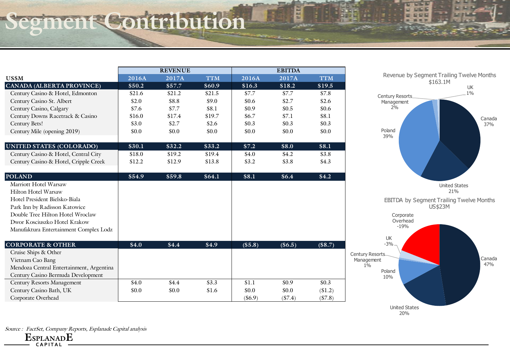### **Segment Contribution**

|                                          |                    | <b>REVENUE</b> |            | <b>EBITDA</b> |            |            |  |
|------------------------------------------|--------------------|----------------|------------|---------------|------------|------------|--|
| US\$M                                    | $2016\overline{A}$ | 2017A          | <b>TTM</b> | 2016A         | 2017A      | <b>TTM</b> |  |
| CANADA (ALBERTA PROVINCE)                | \$50.2             | \$57.7         | \$60.9     | \$16.3        | \$18.2     | \$19.5     |  |
| Century Casino & Hotel, Edmonton         | \$21.6             | \$21.2         | \$21.5     | \$7.7         | \$7.7      | \$7.8      |  |
| Century Casino St. Albert                | \$2.0              | \$8.8          | \$9.0      | \$0.6         | \$2.7      | \$2.6      |  |
| Century Casino, Calgary                  | \$7.6              | \$7.7          | \$8.1      | \$0.9         | \$0.5      | \$0.6      |  |
| Century Downs Racetrack & Casino         | \$16.0             | \$17.4         | \$19.7     | \$6.7         | \$7.1      | \$8.1      |  |
| Century Bets!                            | \$3.0              | \$2.7          | \$2.6      | \$0.3\$       | \$0.3\$    | \$0.3      |  |
| Century Mile (opening 2019)              | \$0.0              | \$0.0          | \$0.0      | \$0.0         | \$0.0      | \$0.0      |  |
| UNITED STATES (COLORADO)                 | \$30.1             | \$32.2         | \$33.2     | \$7.2         | \$8.0      | \$8.1      |  |
| Century Casino & Hotel, Central City     | \$18.0             | \$19.2         | \$19.4     | \$4.0         | \$4.2      | \$3.8      |  |
| Century Casino & Hotel, Cripple Creek    | \$12.2             | \$12.9         | \$13.8     | \$3.2         | \$3.8      | \$4.3      |  |
| <b>POLAND</b>                            | \$54.9             | \$59.8         | \$64.1     | \$8.1         | \$6.4      | \$4.2\$    |  |
| Marriott Hotel Warsaw                    |                    |                |            |               |            |            |  |
| <b>Hilton Hotel Warsaw</b>               |                    |                |            |               |            |            |  |
| Hotel President Bielsko-Biala            |                    |                |            |               |            |            |  |
| Park Inn by Radisson Katowice            |                    |                |            |               |            |            |  |
| Double Tree Hilton Hotel Wroclaw         |                    |                |            |               |            |            |  |
| Dwor Kosciuszko Hotel Krakow             |                    |                |            |               |            |            |  |
| Manufaktura Entertainment Complex Lodz   |                    |                |            |               |            |            |  |
| <b>CORPORATE &amp; OTHER</b>             | \$4.0              | \$4.4          | \$4.9      | (\$5.8)       | $($ \$6.5) | $(\$8.7)$  |  |
| Cruise Ships & Other                     |                    |                |            |               |            |            |  |
| Vietnam Cao Bang                         |                    |                |            |               |            |            |  |
| Mendoza Central Entertainment, Argentina |                    |                |            |               |            |            |  |
| Century Casino Bermuda Development       |                    |                |            |               |            |            |  |
| Century Resorts Management               | \$4.0              | \$4.4          | \$3.3      | \$1.1         | \$0.9      | \$0.3\$    |  |
| Century Casino Bath, UK                  | \$0.0              | \$0.0          | \$1.6      | \$0.0         | \$0.0      | (S1.2)     |  |
| Corporate Overhead                       |                    |                |            | $($ \$6.9)    | (S7.4)     | (S7.8)     |  |



Ξ

医

圖

**IF E E** 

**The Media** 

Source : FactSet, Company Reports, Esplanade Capital analysis

**ESPLANADE**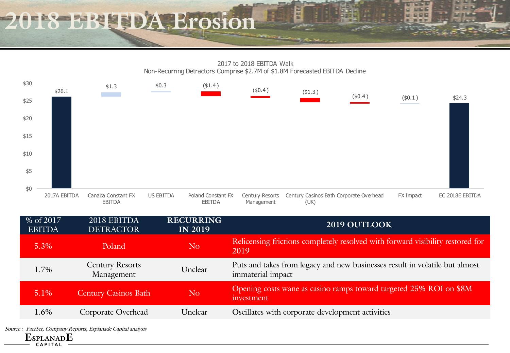### **2018 EBITDA Erosion**



计划机

| % of 2017<br><b>EBITDA</b> | 2018 EBITDA<br><b>DETRACTOR</b>      | <b>RECURRING</b><br><b>IN 2019</b> | 2019 OUTLOOK                                                                                     |
|----------------------------|--------------------------------------|------------------------------------|--------------------------------------------------------------------------------------------------|
| 5.3%                       | Poland                               | N <sub>o</sub>                     | Relicensing frictions completely resolved with forward visibility restored for<br>2019           |
| 1.7%                       | <b>Century Resorts</b><br>Management | Unclear                            | Puts and takes from legacy and new businesses result in volatile but almost<br>immaterial impact |
| $5.1\%$                    | <b>Century Casinos Bath</b>          | N <sub>o</sub>                     | Opening costs wane as casino ramps toward targeted 25% ROI on \$8M<br><i>uvestment</i>           |
| 1.6%                       | Corporate Overhead                   | Unclear                            | Oscillates with corporate development activities                                                 |

**ESPLANADE** Source : FactSet, Company Reports, Esplanade Capital analysis

**C A P I T A L**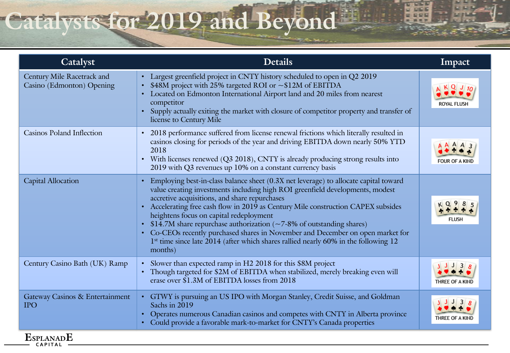# **Catalysts for 2019 and Beyond**

| Catalyst                                                | <b>Details</b>                                                                                                                                                                                                                                                                                                                                                                                                                                                                                                                                                                                                                                                | Impact                               |
|---------------------------------------------------------|---------------------------------------------------------------------------------------------------------------------------------------------------------------------------------------------------------------------------------------------------------------------------------------------------------------------------------------------------------------------------------------------------------------------------------------------------------------------------------------------------------------------------------------------------------------------------------------------------------------------------------------------------------------|--------------------------------------|
| Century Mile Racetrack and<br>Casino (Edmonton) Opening | Largest greenfield project in CNTY history scheduled to open in Q2 2019<br>$\bullet$<br>\$48M project with 25% targeted ROI or ~\$12M of EBITDA<br>$\bullet$<br>Located on Edmonton International Airport land and 20 miles from nearest<br>competitor<br>Supply actually exiting the market with closure of competitor property and transfer of<br>$\bullet$<br>license to Century Mile                                                                                                                                                                                                                                                                      | $\langle$ Q J $_{10}$<br>ROYAL FLUSH |
| <b>Casinos Poland Inflection</b>                        | 2018 performance suffered from license renewal frictions which literally resulted in<br>$\bullet$<br>casinos closing for periods of the year and driving EBITDA down nearly 50% YTD<br>2018<br>With licenses renewed (Q3 2018), CNTY is already producing strong results into<br>$\bullet$<br>2019 with Q3 revenues up 10% on a constant currency basis                                                                                                                                                                                                                                                                                                       | <b>FOUR OF A KIND</b>                |
| <b>Capital Allocation</b>                               | Employing best-in-class balance sheet (0.3X net leverage) to allocate capital toward<br>$\bullet$<br>value creating investments including high ROI greenfield developments, modest<br>accretive acquisitions, and share repurchases<br>Accelerating free cash flow in 2019 as Century Mile construction CAPEX subsides<br>$\bullet$<br>heightens focus on capital redeployment<br>\$14.7M share repurchase authorization ( $\sim$ 7-8% of outstanding shares)<br>Co-CEOs recently purchased shares in November and December on open market for<br>$\bullet$<br>1st time since late 2014 (after which shares rallied nearly 60% in the following 12<br>months) | <b>FLUSH</b>                         |
| Century Casino Bath (UK) Ramp                           | Slower than expected ramp in H2 2018 for this \$8M project<br>$\bullet$<br>Though targeted for \$2M of EBITDA when stabilized, merely breaking even will<br>$\bullet$<br>erase over \$1.3M of EBITDA losses from 2018                                                                                                                                                                                                                                                                                                                                                                                                                                         | 3<br>THREE OF A KIND                 |
| Gateway Casinos & Entertainment<br><b>IPO</b>           | GTWY is pursuing an US IPO with Morgan Stanley, Credit Suisse, and Goldman<br>Sachs in 2019<br>Operates numerous Canadian casinos and competes with CNTY in Alberta province<br>$\bullet$<br>Could provide a favorable mark-to-market for CNTY's Canada properties                                                                                                                                                                                                                                                                                                                                                                                            | THREE OF A KIND                      |

Ξ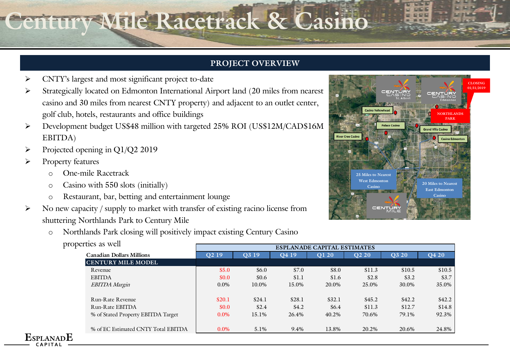# **Century Mile Racetrack & Casino**

#### **PROJECT OVERVIEW**

- ➢ CNTY's largest and most significant project to-date
- Strategically located on Edmonton International Airport land (20 miles from nearest casino and 30 miles from nearest CNTY property) and adjacent to an outlet center, golf club, hotels, restaurants and office buildings
- ➢ Development budget US\$48 million with targeted 25% ROI (US\$12M/CAD\$16M EBITDA)
- ➢ Projected opening in Q1/Q2 2019
- Property features

- o One-mile Racetrack
- o Casino with 550 slots (initially)
- o Restaurant, bar, betting and entertainment lounge
- No new capacity / supply to market with transfer of existing racino license from shuttering Northlands Park to Century Mile
	- o Northlands Park closing will positively impact existing Century Casino



| properties as well                  |                                    |                   |                   |        |                   |         |        |  |  |
|-------------------------------------|------------------------------------|-------------------|-------------------|--------|-------------------|---------|--------|--|--|
|                                     | <b>ESPLANADE CAPITAL ESTIMATES</b> |                   |                   |        |                   |         |        |  |  |
| <b>Canadian Dollars Millions</b>    | O <sub>2</sub> 19                  | O <sub>3</sub> 19 | O <sub>4</sub> 19 | O1 20  | O <sub>2</sub> 20 | Q3 20   | Q4 20  |  |  |
| <b>CENTURY MILE MODEL</b>           |                                    |                   |                   |        |                   |         |        |  |  |
| Revenue                             | \$5.0                              | \$6.0             | \$7.0             | \$8.0  | \$11.3            | \$10.5  | \$10.5 |  |  |
| <b>EBITDA</b>                       | \$0.0                              | \$0.6             | \$1.1             | \$1.6  | \$2.8             | \$3.2\$ | \$3.7  |  |  |
| <b>EBITDA</b> Margin                | $0.0\%$                            | 10.0%             | 15.0%             | 20.0%  | 25.0%             | 30.0%   | 35.0%  |  |  |
| Run-Rate Revenue                    | \$20.1                             | \$24.1            | \$28.1            | \$32.1 | \$45.2            | \$42.2  | \$42.2 |  |  |
| Run-Rate EBITDA                     | \$0.0                              | \$2.4             | \$4.2             | \$6.4  | \$11.3            | \$12.7  | \$14.8 |  |  |
| % of Stated Property EBITDA Target  | $0.0\%$                            | 15.1%             | 26.4%             | 40.2%  | 70.6%             | 79.1%   | 92.3%  |  |  |
| % of EC Estimated CNTY Total EBITDA | $0.0\%$                            | 5.1%              | 9.4%              | 13.8%  | 20.2%             | 20.6%   | 24.8%  |  |  |
| ~C                                  |                                    |                   |                   |        |                   |         |        |  |  |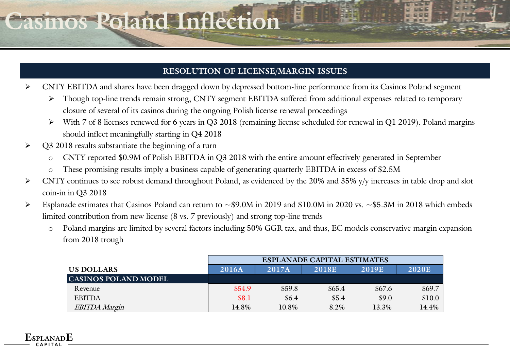### **Casinos Poland Inflection**

#### **RESOLUTION OF LICENSE/MARGIN ISSUES**

- ➢ CNTY EBITDA and shares have been dragged down by depressed bottom-line performance from its Casinos Poland segment
	- ➢ Though top-line trends remain strong, CNTY segment EBITDA suffered from additional expenses related to temporary closure of several of its casinos during the ongoing Polish license renewal proceedings
	- ➢ With 7 of 8 licenses renewed for 6 years in Q3 2018 (remaining license scheduled for renewal in Q1 2019), Poland margins should inflect meaningfully starting in Q4 2018
- ➢ Q3 2018 results substantiate the beginning of a turn

- o CNTY reported \$0.9M of Polish EBITDA in Q3 2018 with the entire amount effectively generated in September
- o These promising results imply a business capable of generating quarterly EBITDA in excess of \$2.5M
- ➢ CNTY continues to see robust demand throughout Poland, as evidenced by the 20% and 35% y/y increases in table drop and slot coin-in in Q3 2018
- ➢ Esplanade estimates that Casinos Poland can return to ~\$9.0M in 2019 and \$10.0M in 2020 vs. ~\$5.3M in 2018 which embeds limited contribution from new license (8 vs. 7 previously) and strong top-line trends
	- o Poland margins are limited by several factors including 50% GGR tax, and thus, EC models conservative margin expansion from 2018 trough

|                             | <b>ESPLANADE CAPITAL ESTIMATES</b> |        |        |        |              |  |  |  |  |  |
|-----------------------------|------------------------------------|--------|--------|--------|--------------|--|--|--|--|--|
| US DOLLARS                  | 2016A                              | 2017A  | 2018E  | 2019E  | <b>2020E</b> |  |  |  |  |  |
| <b>CASINOS POLAND MODEL</b> |                                    |        |        |        |              |  |  |  |  |  |
| Revenue                     | \$54.9                             | \$59.8 | \$65.4 | \$67.6 | \$69.7       |  |  |  |  |  |
| <b>EBITDA</b>               | \$8.1                              | \$6.4  | \$5.4  | \$9.0  | \$10.0       |  |  |  |  |  |
| <b>EBITDA Margin</b>        | 14.8%                              | 10.8%  | 8.2%   | 13.3%  | 14.4%        |  |  |  |  |  |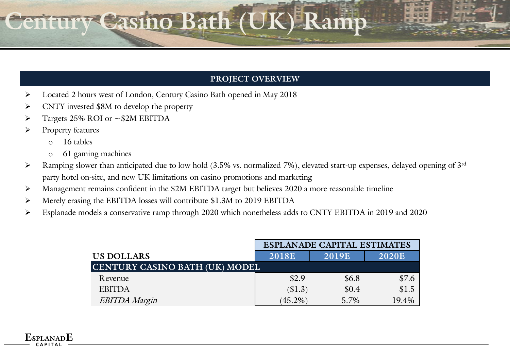# **CENTURY CASES**

#### **PROJECT OVERVIEW**

- ➢ Located 2 hours west of London, Century Casino Bath opened in May 2018
- ➢ CNTY invested \$8M to develop the property
- ➢ Targets 25% ROI or ~\$2M EBITDA
- ➢ Property features

- o 16 tables
- o 61 gaming machines
- $\triangleright$  Ramping slower than anticipated due to low hold (3.5% vs. normalized 7%), elevated start-up expenses, delayed opening of 3rd party hotel on-site, and new UK limitations on casino promotions and marketing
- ➢ Management remains confident in the \$2M EBITDA target but believes 2020 a more reasonable timeline
- ➢ Merely erasing the EBITDA losses will contribute \$1.3M to 2019 EBITDA
- ➢ Esplanade models a conservative ramp through 2020 which nonetheless adds to CNTY EBITDA in 2019 and 2020

|                                | <b>ESPLANADE CAPITAL ESTIMATES</b> |              |              |  |  |  |  |
|--------------------------------|------------------------------------|--------------|--------------|--|--|--|--|
| US DOLLARS                     | <b>2018E</b>                       | <b>2019E</b> | <b>2020E</b> |  |  |  |  |
| CENTURY CASINO BATH (UK) MODEL |                                    |              |              |  |  |  |  |
| Revenue                        | \$2.9                              | \$6.8        | \$7.6        |  |  |  |  |
| <b>EBITDA</b>                  | (S1.3)                             | \$0.4        | \$1.5        |  |  |  |  |
| <b>EBITDA Margin</b>           | $(45.2\%)$                         | 5.7%         | 19.4%        |  |  |  |  |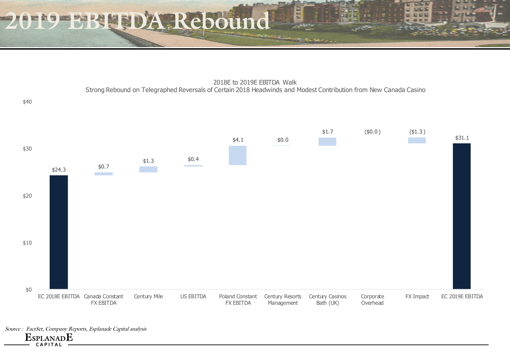**2019 EBITDA Rebound**

2018E to 2019E EBITDA Walk Strong Rebound on Telegraphed Reversals of Certain 2018 Headwinds and Modest Contribution from New Canada Casino

**IF E E** 



Source : FactSet, Company Reports, Esplanade Capital analysis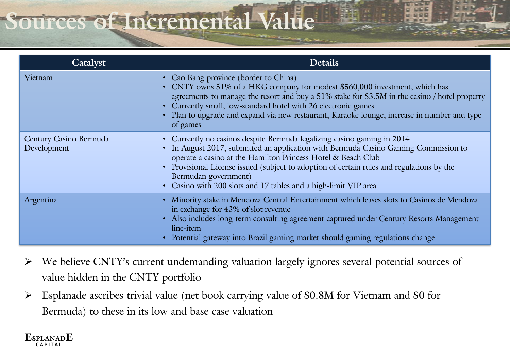# **Sources of Incremental Va**

| Catalyst                              | <b>Details</b>                                                                                                                                                                                                                                                                                                                                                                                                         |
|---------------------------------------|------------------------------------------------------------------------------------------------------------------------------------------------------------------------------------------------------------------------------------------------------------------------------------------------------------------------------------------------------------------------------------------------------------------------|
| Vietnam                               | • Cao Bang province (border to China)<br>• CNTY owns 51% of a HKG company for modest \$560,000 investment, which has<br>agreements to manage the resort and buy a 51% stake for \$3.5M in the casino / hotel property<br>• Currently small, low-standard hotel with 26 electronic games<br>• Plan to upgrade and expand via new restaurant, Karaoke lounge, increase in number and type<br>of games                    |
| Century Casino Bermuda<br>Development | • Currently no casinos despite Bermuda legalizing casino gaming in 2014<br>• In August 2017, submitted an application with Bermuda Casino Gaming Commission to<br>operate a casino at the Hamilton Princess Hotel & Beach Club<br>• Provisional License issued (subject to adoption of certain rules and regulations by the<br>Bermudan government)<br>• Casino with 200 slots and 17 tables and a high-limit VIP area |
| Argentina                             | • Minority stake in Mendoza Central Entertainment which leases slots to Casinos de Mendoza<br>in exchange for 43% of slot revenue<br>Also includes long-term consulting agreement captured under Century Resorts Management<br>$\bullet$<br>line-item<br>Potential gateway into Brazil gaming market should gaming regulations change                                                                                  |

- ➢ We believe CNTY's current undemanding valuation largely ignores several potential sources of value hidden in the CNTY portfolio
- ➢ Esplanade ascribes trivial value (net book carrying value of \$0.8M for Vietnam and \$0 for Bermuda) to these in its low and base case valuation

#### $_{\rm{PI~AMAD}}$ E **C A P I T A L**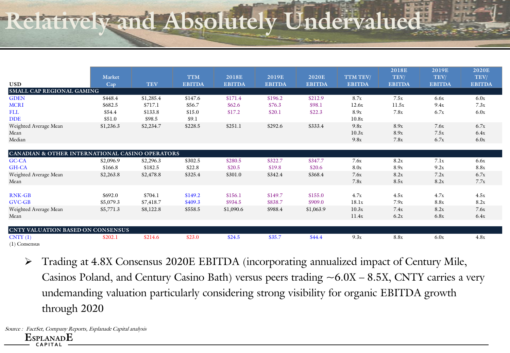# **Relatively and Absolutely Undervalu**

|                                                 |                      |            |                             |                               |                        |                               |                           | 2018E                 | 2019E                 | 2020E                 |
|-------------------------------------------------|----------------------|------------|-----------------------------|-------------------------------|------------------------|-------------------------------|---------------------------|-----------------------|-----------------------|-----------------------|
| <b>USD</b>                                      | <b>Market</b><br>Cap | <b>TEV</b> | <b>TTM</b><br><b>EBITDA</b> | <b>2018E</b><br><b>EBITDA</b> | 2019E<br><b>EBITDA</b> | <b>2020E</b><br><b>EBITDA</b> | TTM TEV/<br><b>EBITDA</b> | TEV/<br><b>EBITDA</b> | TEV/<br><b>EBITDA</b> | TEV/<br><b>EBITDA</b> |
| SMALL CAP REGIONAL GAMING                       |                      |            |                             |                               |                        |                               |                           |                       |                       |                       |
| <b>GDEN</b>                                     | \$448.4              | \$1,285.4  | \$147.6                     | \$171.4                       | \$196.2                | \$212.9                       | 8.7x                      | 7.5x                  | 6.6x                  | 6.0x                  |
| <b>MCRI</b>                                     | \$682.5              | \$717.1    | \$56.7                      | \$62.6\$                      | \$76.3                 | \$98.1                        | 12.6x                     | 11.5x                 | 9.4x                  | 7.3x                  |
| <b>FLL</b>                                      | \$54.4               | \$133.8    | \$15.0                      | \$17.2                        | \$20.1                 | \$22.3                        | 8.9x                      | 7.8x                  | 6.7x                  | 6.0x                  |
| <b>DDE</b>                                      | \$51.0               | \$98.5     | \$9.1                       |                               |                        |                               | 10.8x                     |                       |                       |                       |
| Weighted Average Mean                           | \$1,236.3            | \$2,234.7  | \$228.5                     | \$251.1                       | \$292.6                | \$333.4                       | 9.8x                      | 8.9x                  | 7.6x                  | 6.7x                  |
| Mean                                            |                      |            |                             |                               |                        |                               | 10.3x                     | 8.9x                  | 7.5x                  | 6.4x                  |
| Median                                          |                      |            |                             |                               |                        |                               | 9.8x                      | 7.8x                  | 6.7x                  | 6.0x                  |
|                                                 |                      |            |                             |                               |                        |                               |                           |                       |                       |                       |
| CANADIAN & OTHER INTERNATIONAL CASINO OPERATORS |                      |            |                             |                               |                        |                               |                           |                       |                       |                       |
| GC-CA                                           | \$2,096.9            | \$2,296.3  | \$302.5                     | \$280.5                       | \$322.7                | \$347.7                       | 7.6x                      | 8.2x                  | 7.1x                  | 6.6x                  |
| GH-CA                                           | \$166.8              | \$182.5    | \$22.8                      | \$20.5                        | \$19.8                 | \$20.6                        | 8.0x                      | 8.9x                  | 9.2x                  | 8.8x                  |
| Weighted Average Mean                           | \$2,263.8            | \$2,478.8  | \$325.4                     | \$301.0                       | \$342.4                | \$368.4                       | 7.6x                      | 8.2x                  | 7.2x                  | 6.7x                  |
| Mean                                            |                      |            |                             |                               |                        |                               | 7.8x                      | 8.5x                  | 8.2x                  | 7.7x                  |
|                                                 |                      |            |                             |                               |                        |                               |                           |                       |                       |                       |
| <b>RNK-GB</b>                                   | \$692.0              | \$704.1    | \$149.2                     | \$156.1                       | \$149.7                | \$155.0                       | 4.7x                      | 4.5x                  | 4.7x                  | 4.5x                  |
| <b>GVC-GB</b>                                   | \$5,079.3            | \$7,418.7  | \$409.3                     | \$934.5                       | \$838.7                | \$909.0                       | 18.1x                     | 7.9x                  | 8.8x                  | 8.2x                  |
| Weighted Average Mean                           | \$5,771.3            | \$8,122.8  | \$558.5                     | \$1,090.6                     | \$988.4                | \$1,063.9                     | 10.3x                     | 7.4x                  | 8.2x                  | 7.6x                  |
| Mean                                            |                      |            |                             |                               |                        |                               | 11.4x                     | 6.2x                  | 6.8x                  | 6.4x                  |
|                                                 |                      |            |                             |                               |                        |                               |                           |                       |                       |                       |
| <b>CNTY VALUATION BASED ON CONSENSUS</b>        |                      |            |                             |                               |                        |                               |                           |                       |                       |                       |
| CNTY(1)                                         | \$202.1              | \$214.6    | \$23.0                      | \$24.5                        | \$35.7                 | \$44.4                        | 9.3x                      | 8.8x                  | 6.0x                  | 4.8x                  |
| $(1)$ Consensus                                 |                      |            |                             |                               |                        |                               |                           |                       |                       |                       |

➢ Trading at 4.8X Consensus 2020E EBITDA (incorporating annualized impact of Century Mile, Casinos Poland, and Century Casino Bath) versus peers trading  $\sim 6.0X - 8.5X$ , CNTY carries a very undemanding valuation particularly considering strong visibility for organic EBITDA growth through 2020

**ESPLANADE C A P I T A L** Source : FactSet, Company Reports, Esplanade Capital analysis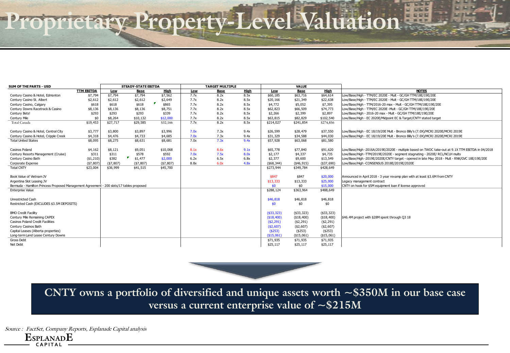# **Proprietary Property-Level Valuation**

| SUM OF THE PARTS - USD                                                                   |                   |            | <b>STEADY-STATE EBITDA</b> |                                              |      | <b>TARGET MULTIPLE</b> |             |               | VALUE         |              |                                                                                                  |
|------------------------------------------------------------------------------------------|-------------------|------------|----------------------------|----------------------------------------------|------|------------------------|-------------|---------------|---------------|--------------|--------------------------------------------------------------------------------------------------|
|                                                                                          | <b>TTM EBITDA</b> | Low        | <b>Base</b>                | High                                         | Low  | <b>Base</b>            | <b>High</b> | Low           | <b>Base</b>   | <b>High</b>  | <b>NOTES</b>                                                                                     |
| Century Casino & Hotel, Edmonton                                                         | \$7,794           | \$7,794    | \$7,794                    | \$7,562                                      | 7.7x | 8.2x                   | 8.5x        | \$60,185      | \$63,716      | \$64,614     | Low/Base/High - TTM/EC 2020E - Mult - GC/GH TTM/18E/19E/20E                                      |
| Century Casino St. Albert                                                                | \$2,612           | \$2,612    | \$2,612                    | \$2,649                                      | 7.7x | 8.2x                   | 8.5x        | \$20,166      | \$21,349      | \$22,638     | Low/Base/High - TTM/EC 2020E - Mult - GC/GH TTM/18E/19E/20E                                      |
| Century Casino, Calgary                                                                  | \$618             | \$618      | \$618                      | Р<br>\$865                                   | 7.7x | 8.2x                   | 8.5x        | \$4,772       | \$5,052       | \$7,395      | Low/Base/High - TTM/2016-20 max - Mult - GC/GH TTM/18E/19E/20E                                   |
| Century Downs Racetrack & Casino                                                         | \$8,136           | \$8,136    | \$8,136                    | \$8,751                                      | 7.7x | 8.2x                   | 8.5x        | \$62,823      | \$66,509      | \$74,773     | Low/Base/High - TTM/EC 2020E -Mult - GC/GH TTM/18E/19E/20E                                       |
| Century Bets!                                                                            | \$293             | \$293      | \$293                      | \$339                                        | 7.7x | 8.2x                   | 8.5x        | \$2,266       | \$2,399       | \$2,897      | Low/Base/High - 2016-20 max - Mult - GC/GH TTM/18E/19E/20E                                       |
| Century Mile                                                                             | \$0               | \$8,264    | \$10,132                   | \$12,000                                     | 7.7x | 8.2x                   | 8.5x        | \$63,815      | \$82,829      | \$102,540    | Low/Base/High - EC 2020E/Midpoint EC & Target/CNTY stated target                                 |
| Total Canada                                                                             | \$19,453          | \$27,717   | \$29,585                   | \$32,166                                     | 7.7x | 8.2x                   | 8.5x        | \$214,027     | \$241,854     | \$274,856    |                                                                                                  |
|                                                                                          |                   |            |                            |                                              |      |                        |             |               |               |              |                                                                                                  |
| Century Casino & Hotel, Central City                                                     | \$3,777           | \$3,800    | \$3,897                    | \$3,996                                      | 7.0x | 7.3x                   | 9.4x        | \$26,599      | \$28,479      | \$37,550     | Low/Base/High - EC 18/19/20E Mult - Bronco Billy's (7.0X)/MCRI 2020E/MCRI 2019E                  |
| Century Casino & Hotel, Cripple Creek                                                    | \$4,318           | \$4,476    | \$4,733                    | \$4,685                                      | 7.0x | 7.3x                   | 9.4x        | \$31,329      | \$34,588      | \$44,030     | Low/Base/High - EC 18/19/20E Mult - Bronco Billy's (7.0X)/MCRI 2020E/MCRI 2019E                  |
| <b>Total United States</b>                                                               | \$8,095           | \$8,275    | \$8,631                    | \$8,681                                      | 7.0x | 7.3x                   | 9.4x        | \$57,928      | \$63,068      | \$81,580     |                                                                                                  |
|                                                                                          |                   |            |                            |                                              |      |                        |             |               |               |              |                                                                                                  |
| Casinos Poland                                                                           | \$4,162           | \$8,121    | \$9,051                    | \$10,068                                     | 8.1x | 8.6x                   | 9.1x        | \$65,778      | \$77,840      | \$91,620     | Low/Base/High -2016A/2019E/2020E - multiple based on TWOC take-out at 9.1X TTM EBITDA in 04/2018 |
| Century Resorts Management (Cruise)                                                      | \$311             | \$311      | \$578                      | \$592                                        | 7.0x | 7.5x                   | 8.0x        | \$2,177       | \$4,337       | \$4,735      | Low/Base/High -TTM/2019E/2020E - segment stagnating - 2020E/ RCL/NCLH mults                      |
| Century Casino Bath                                                                      | ( \$1, 210]       | \$382      | \$1,477                    | \$2,000                                      | 6.2x | 6.5x                   | 6.8x        | \$2,377       | \$9,600       | \$13,549     | Low/Base/High -2019E/2020E/CNTY target - opened in late May 2018 - Mult - RNK/GVC 18E/19E/20E    |
| Corporate Expense                                                                        | (\$7,807          | ( \$7,807) | ( \$7,807)                 | ( \$7,807)                                   | 8.8x | 6.0x                   | 4.8x        | ( \$68, 344)  | ( \$46, 915)  | (\$37,690)   | Low/Base/High -CONSENSUS 2018E/2019E/2020E                                                       |
| <b>Total CNTY</b>                                                                        | \$23,004          | \$36,999   | \$41,515                   | \$45,700                                     |      |                        |             | \$273,944     | \$349,784     | \$428,649    |                                                                                                  |
|                                                                                          |                   |            |                            |                                              |      |                        |             |               |               |              |                                                                                                  |
| Book Value of Vietnam JV                                                                 |                   |            |                            |                                              |      |                        |             | \$847         | \$847         | \$20,000     | Announced in April 2018 - 3 year revamp plan with at least \$3.6M from CNTY                      |
| Argentina Slot Leasing JV                                                                |                   |            |                            |                                              |      |                        |             | \$13,333      | \$13,333      | \$25,000     | Legacy management contract                                                                       |
| Bermuda - Hamilton Princess Proposed Management Agreement - 200 slots/17 tables proposed |                   |            |                            |                                              |      |                        |             | \$0           | \$0           | \$15,000     | CNTY on hook for \$5M equipment loan if license approved                                         |
| <b>Enterprise Value</b>                                                                  |                   |            |                            |                                              |      |                        |             | \$288,124     | \$363,964     | \$488,649    |                                                                                                  |
|                                                                                          |                   |            |                            |                                              |      |                        |             |               |               |              |                                                                                                  |
| <b>Unrestricted Cash</b>                                                                 |                   |            |                            |                                              |      |                        |             | \$46,818      | \$46,818      | \$46,818     |                                                                                                  |
| Restricted Cash (EXCLUDES \$3.5M DEPOSITS)                                               |                   |            |                            |                                              |      |                        |             | \$0           | \$0           | \$0          |                                                                                                  |
|                                                                                          |                   |            |                            |                                              |      |                        |             |               |               |              |                                                                                                  |
| <b>BMO Credit Facility</b>                                                               |                   |            |                            |                                              |      |                        |             | $($ \$33,323) | $($ \$33,323) | ( \$33, 323) |                                                                                                  |
| Century Mile Remaining CAPEX                                                             |                   |            |                            |                                              |      |                        |             | ( \$18,400)   | ( \$18,400)   | (\$18,400)   | \$46.4M project with \$28M spent through Q3 18                                                   |
| <b>Casinos Poland Credit Facilities</b>                                                  |                   |            |                            |                                              |      |                        |             | ( \$2, 291)   | ( \$2, 291)   | ( \$2, 291)  |                                                                                                  |
| Century Casinos Bath                                                                     |                   |            |                            |                                              |      |                        |             | ( \$2,607)    | ( \$2,607)    | ( \$2,607)   |                                                                                                  |
| Capital Leases (Alberta properties)                                                      |                   |            |                            |                                              |      |                        |             | ( \$253)      | (\$253)       | ( \$253)     |                                                                                                  |
| Long-term Land Lease Century Downs                                                       |                   |            |                            |                                              |      |                        |             | ( \$15,061]   | ( \$15,061)   | ( \$15,061)  |                                                                                                  |
| <b>Gross Debt</b>                                                                        |                   |            |                            |                                              |      |                        |             | \$71,935      | \$71,935      | \$71,935     |                                                                                                  |
| Net Debt                                                                                 |                   |            |                            |                                              |      |                        |             | \$25,117      | \$25,117      | \$25,117     |                                                                                                  |
|                                                                                          |                   |            |                            |                                              |      |                        |             |               |               |              |                                                                                                  |
|                                                                                          |                   |            |                            |                                              |      |                        |             |               |               |              |                                                                                                  |
|                                                                                          |                   |            |                            |                                              |      |                        |             |               |               |              |                                                                                                  |
|                                                                                          |                   |            |                            |                                              |      |                        |             |               |               |              |                                                                                                  |
|                                                                                          |                   |            |                            |                                              |      |                        |             |               |               |              |                                                                                                  |
|                                                                                          |                   |            |                            |                                              |      |                        |             |               |               |              |                                                                                                  |
|                                                                                          |                   |            |                            |                                              |      |                        |             |               |               |              |                                                                                                  |
|                                                                                          |                   |            |                            |                                              |      |                        |             |               |               |              |                                                                                                  |
|                                                                                          |                   |            |                            |                                              |      |                        |             |               |               |              |                                                                                                  |
|                                                                                          |                   |            |                            |                                              |      |                        |             |               |               |              | CNTY owns a portfolio of diversified and unique assets worth $\sim$ \$350M in our base case      |
|                                                                                          |                   |            |                            |                                              |      |                        |             |               |               |              |                                                                                                  |
|                                                                                          |                   |            |                            |                                              |      |                        |             |               |               |              |                                                                                                  |
|                                                                                          |                   |            |                            | versus a current enterprise value of ~\$215M |      |                        |             |               |               |              |                                                                                                  |
|                                                                                          |                   |            |                            |                                              |      |                        |             |               |               |              |                                                                                                  |



**ESPLANADE C A P I T A L** Source : FactSet, Company Reports, Esplanade Capital analysis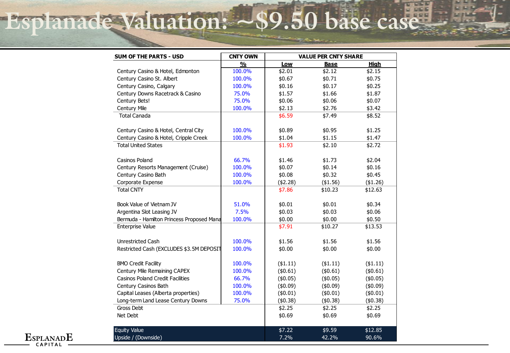# **Esplanade Valuation: ~\$9.50 base case**

| SUM OF THE PARTS - USD                    | <b>CNTY OWN</b>         | <b>VALUE PER CNTY SHARE</b> |             |             |  |  |  |
|-------------------------------------------|-------------------------|-----------------------------|-------------|-------------|--|--|--|
|                                           | $\mathbf{0}/\mathbf{0}$ | Low                         | <b>Base</b> | <b>High</b> |  |  |  |
| Century Casino & Hotel, Edmonton          | 100.0%                  | \$2.01                      | \$2.12      | \$2.15      |  |  |  |
| Century Casino St. Albert                 | 100.0%                  | \$0.67                      | \$0.71      | \$0.75      |  |  |  |
| Century Casino, Calgary                   | 100.0%                  | \$0.16                      | \$0.17      | \$0.25      |  |  |  |
| Century Downs Racetrack & Casino          | 75.0%                   | \$1.57                      | \$1.66      | \$1.87      |  |  |  |
| Century Bets!                             | 75.0%                   | \$0.06                      | \$0.06      | \$0.07      |  |  |  |
| Century Mile                              | 100.0%                  | \$2.13                      | \$2.76      | \$3.42      |  |  |  |
| <b>Total Canada</b>                       |                         | \$6.59                      | \$7.49      | \$8.52      |  |  |  |
| Century Casino & Hotel, Central City      | 100.0%                  | \$0.89                      | \$0.95      | \$1.25      |  |  |  |
| Century Casino & Hotel, Cripple Creek     | 100.0%                  | \$1.04                      | \$1.15      | \$1.47      |  |  |  |
| <b>Total United States</b>                |                         | \$1.93                      | \$2.10      | \$2.72      |  |  |  |
| Casinos Poland                            | 66.7%                   | \$1.46                      | \$1.73      | \$2.04      |  |  |  |
| Century Resorts Management (Cruise)       | 100.0%                  | \$0.07                      | \$0.14      | \$0.16      |  |  |  |
| Century Casino Bath                       | 100.0%                  | \$0.08                      | \$0.32      | \$0.45      |  |  |  |
| Corporate Expense                         | 100.0%                  | (\$2.28)                    | (\$1.56)    | (\$1.26)    |  |  |  |
| <b>Total CNTY</b>                         |                         | \$7.86                      | \$10.23     | \$12.63     |  |  |  |
| Book Value of Vietnam JV                  | 51.0%                   | \$0.01                      | \$0.01      | \$0.34      |  |  |  |
| Argentina Slot Leasing JV                 | 7.5%                    | \$0.03                      | \$0.03      | \$0.06      |  |  |  |
| Bermuda - Hamilton Princess Proposed Mana | 100.0%                  | \$0.00                      | \$0.00      | \$0.50      |  |  |  |
| <b>Enterprise Value</b>                   |                         | \$7.91                      | \$10.27     | \$13.53     |  |  |  |
| Unrestricted Cash                         | 100.0%                  | \$1.56                      | \$1.56      | \$1.56      |  |  |  |
| Restricted Cash (EXCLUDES \$3.5M DEPOSIT  | 100.0%                  | \$0.00                      | \$0.00      | \$0.00      |  |  |  |
| <b>BMO Credit Facility</b>                | 100.0%                  | ( \$1.11)                   | ( \$1.11)   | $($ \$1.11) |  |  |  |
| Century Mile Remaining CAPEX              | 100.0%                  | (\$0.61)                    | (\$0.61)    | (\$0.61)    |  |  |  |
| <b>Casinos Poland Credit Facilities</b>   | 66.7%                   | (\$0.05)                    | (\$0.05)    | (\$0.05)    |  |  |  |
| Century Casinos Bath                      | 100.0%                  | (\$0.09)                    | (\$0.09)    | (\$0.09)    |  |  |  |
| Capital Leases (Alberta properties)       | 100.0%                  | (\$0.01)                    | (\$0.01)    | (\$0.01)    |  |  |  |
| Long-term Land Lease Century Downs        | 75.0%                   | (\$0.38)                    | (\$0.38)    | (\$0.38)    |  |  |  |
| Gross Debt                                |                         | \$2.25                      | \$2.25      | \$2.25      |  |  |  |
| Net Debt                                  |                         | \$0.69                      | \$0.69      | \$0.69      |  |  |  |
| <b>Equity Value</b>                       |                         | \$7.22                      | \$9.59      | \$12.85     |  |  |  |
| Upside / (Downside)                       |                         | 7.2%                        | 42.2%       | 90.6%       |  |  |  |